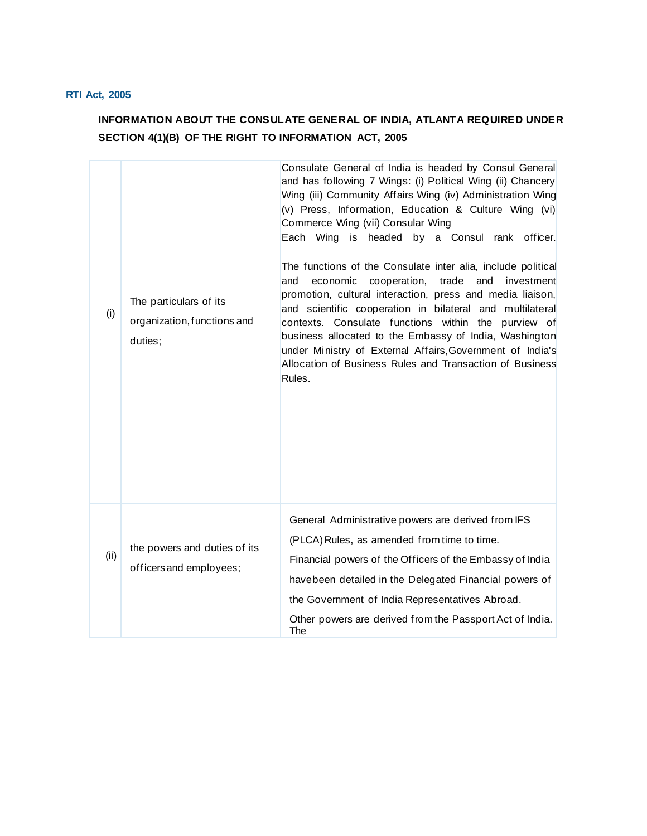## **RTI Act, 2005**

## **INFORMATION ABOUT THE CONSULATE GENERAL OF INDIA, ATLANTA REQUIRED UNDER SECTION 4(1)(B) OF THE RIGHT TO INFORMATION ACT, 2005**

| (i)  | The particulars of its<br>organization, functions and<br>duties; | Consulate General of India is headed by Consul General<br>and has following 7 Wings: (i) Political Wing (ii) Chancery<br>Wing (iii) Community Affairs Wing (iv) Administration Wing<br>(v) Press, Information, Education & Culture Wing (vi)<br>Commerce Wing (vii) Consular Wing<br>Each Wing is headed by a Consul rank officer.<br>The functions of the Consulate inter alia, include political<br>and<br>cooperation, trade<br>investment<br>economic<br>and<br>promotion, cultural interaction, press and media liaison,<br>and scientific cooperation in bilateral and multilateral<br>contexts. Consulate functions within the purview of<br>business allocated to the Embassy of India, Washington<br>under Ministry of External Affairs, Government of India's<br>Allocation of Business Rules and Transaction of Business<br>Rules. |
|------|------------------------------------------------------------------|-----------------------------------------------------------------------------------------------------------------------------------------------------------------------------------------------------------------------------------------------------------------------------------------------------------------------------------------------------------------------------------------------------------------------------------------------------------------------------------------------------------------------------------------------------------------------------------------------------------------------------------------------------------------------------------------------------------------------------------------------------------------------------------------------------------------------------------------------|
| (ii) | the powers and duties of its<br>officers and employees;          | General Administrative powers are derived from IFS<br>(PLCA) Rules, as amended from time to time.<br>Financial powers of the Officers of the Embassy of India<br>havebeen detailed in the Delegated Financial powers of<br>the Government of India Representatives Abroad.<br>Other powers are derived from the Passport Act of India.<br>The                                                                                                                                                                                                                                                                                                                                                                                                                                                                                                 |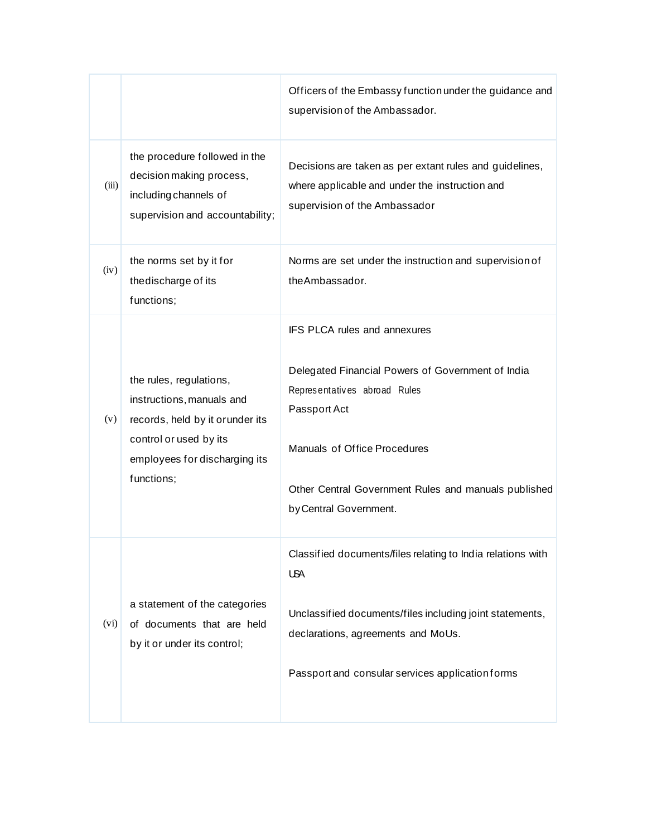|       |                                                                                                                                                                   | Officers of the Embassy function under the guidance and<br>supervision of the Ambassador.                                                                                                                                                           |
|-------|-------------------------------------------------------------------------------------------------------------------------------------------------------------------|-----------------------------------------------------------------------------------------------------------------------------------------------------------------------------------------------------------------------------------------------------|
| (iii) | the procedure followed in the<br>decision making process,<br>including channels of<br>supervision and accountability;                                             | Decisions are taken as per extant rules and guidelines,<br>where applicable and under the instruction and<br>supervision of the Ambassador                                                                                                          |
| (iv)  | the norms set by it for<br>thedischarge of its<br>functions;                                                                                                      | Norms are set under the instruction and supervision of<br>the Ambassador.                                                                                                                                                                           |
| (v)   | the rules, regulations,<br>instructions, manuals and<br>records, held by it or under its<br>control or used by its<br>employees for discharging its<br>functions; | IFS PLCA rules and annexures<br>Delegated Financial Powers of Government of India<br>Representatives abroad Rules<br>Passport Act<br>Manuals of Office Procedures<br>Other Central Government Rules and manuals published<br>by Central Government. |
| (vi)  | a statement of the categories<br>of documents that are held<br>by it or under its control;                                                                        | Classified documents/files relating to India relations with<br><b>USA</b><br>Unclassified documents/files including joint statements,<br>declarations, agreements and MoUs.<br>Passport and consular services application forms                     |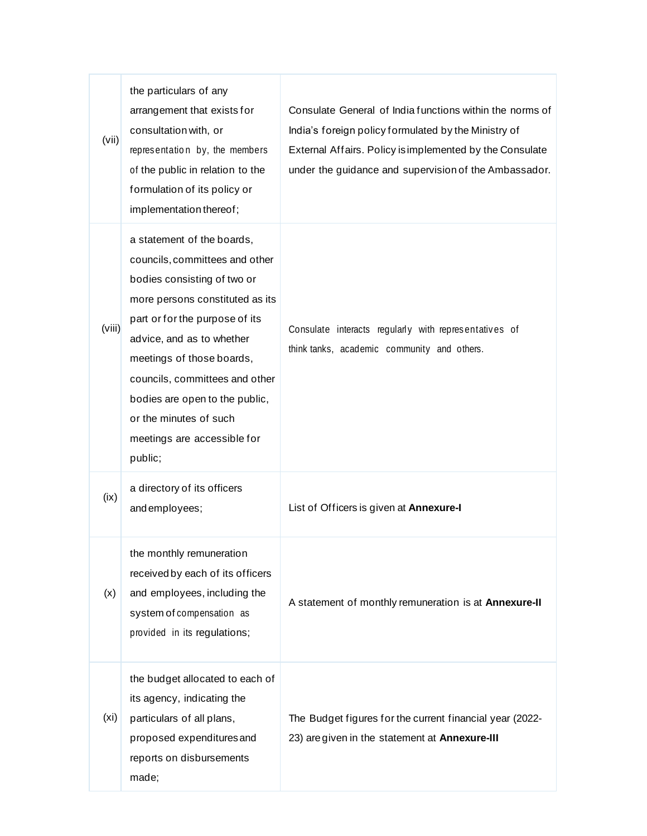| (vii)             | the particulars of any<br>arrangement that exists for<br>consultation with, or<br>representation by, the members<br>of the public in relation to the<br>formulation of its policy or<br>implementation thereof;                                                                                                                                                    | Consulate General of India functions within the norms of<br>India's foreign policy formulated by the Ministry of<br>External Affairs. Policy is implemented by the Consulate<br>under the guidance and supervision of the Ambassador. |
|-------------------|--------------------------------------------------------------------------------------------------------------------------------------------------------------------------------------------------------------------------------------------------------------------------------------------------------------------------------------------------------------------|---------------------------------------------------------------------------------------------------------------------------------------------------------------------------------------------------------------------------------------|
| (viii)            | a statement of the boards,<br>councils, committees and other<br>bodies consisting of two or<br>more persons constituted as its<br>part or for the purpose of its<br>advice, and as to whether<br>meetings of those boards,<br>councils, committees and other<br>bodies are open to the public,<br>or the minutes of such<br>meetings are accessible for<br>public; | Consulate interacts regularly with representatives of<br>think tanks, academic community and others.                                                                                                                                  |
| (ix)              | a directory of its officers<br>and employees;                                                                                                                                                                                                                                                                                                                      | List of Officers is given at Annexure-I                                                                                                                                                                                               |
| (x)               | the monthly remuneration<br>received by each of its officers<br>and employees, including the<br>system of compensation as<br>provided in its regulations;                                                                                                                                                                                                          | A statement of monthly remuneration is at Annexure-II                                                                                                                                                                                 |
| (x <sub>i</sub> ) | the budget allocated to each of<br>its agency, indicating the<br>particulars of all plans,<br>proposed expenditures and<br>reports on disbursements<br>made;                                                                                                                                                                                                       | The Budget figures for the current financial year (2022-<br>23) are given in the statement at Annexure-III                                                                                                                            |